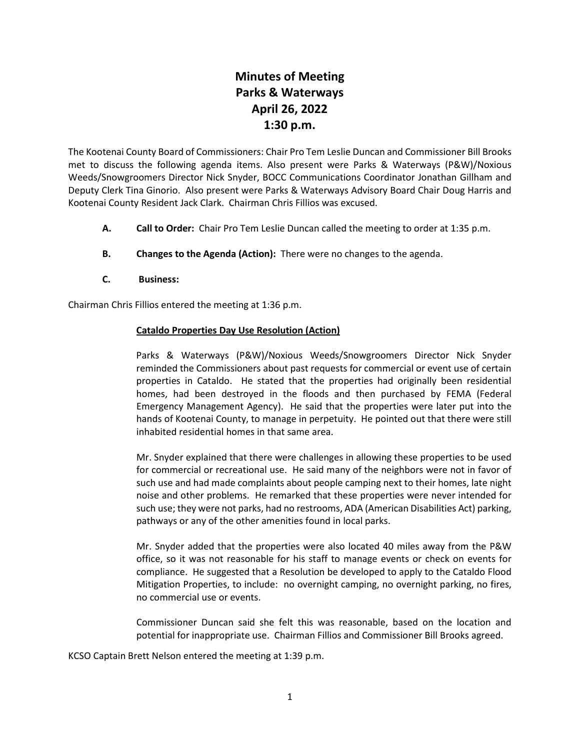# **Minutes of Meeting Parks & Waterways April 26, 2022 1:30 p.m.**

The Kootenai County Board of Commissioners: Chair Pro Tem Leslie Duncan and Commissioner Bill Brooks met to discuss the following agenda items. Also present were Parks & Waterways (P&W)/Noxious Weeds/Snowgroomers Director Nick Snyder, BOCC Communications Coordinator Jonathan Gillham and Deputy Clerk Tina Ginorio. Also present were Parks & Waterways Advisory Board Chair Doug Harris and Kootenai County Resident Jack Clark. Chairman Chris Fillios was excused.

- **A. Call to Order:** Chair Pro Tem Leslie Duncan called the meeting to order at 1:35 p.m.
- **B. Changes to the Agenda (Action):** There were no changes to the agenda.
- **C. Business:**

Chairman Chris Fillios entered the meeting at 1:36 p.m.

## **Cataldo Properties Day Use Resolution (Action)**

Parks & Waterways (P&W)/Noxious Weeds/Snowgroomers Director Nick Snyder reminded the Commissioners about past requests for commercial or event use of certain properties in Cataldo. He stated that the properties had originally been residential homes, had been destroyed in the floods and then purchased by FEMA (Federal Emergency Management Agency). He said that the properties were later put into the hands of Kootenai County, to manage in perpetuity. He pointed out that there were still inhabited residential homes in that same area.

Mr. Snyder explained that there were challenges in allowing these properties to be used for commercial or recreational use. He said many of the neighbors were not in favor of such use and had made complaints about people camping next to their homes, late night noise and other problems. He remarked that these properties were never intended for such use; they were not parks, had no restrooms, ADA (American Disabilities Act) parking, pathways or any of the other amenities found in local parks.

Mr. Snyder added that the properties were also located 40 miles away from the P&W office, so it was not reasonable for his staff to manage events or check on events for compliance. He suggested that a Resolution be developed to apply to the Cataldo Flood Mitigation Properties, to include: no overnight camping, no overnight parking, no fires, no commercial use or events.

Commissioner Duncan said she felt this was reasonable, based on the location and potential for inappropriate use. Chairman Fillios and Commissioner Bill Brooks agreed.

KCSO Captain Brett Nelson entered the meeting at 1:39 p.m.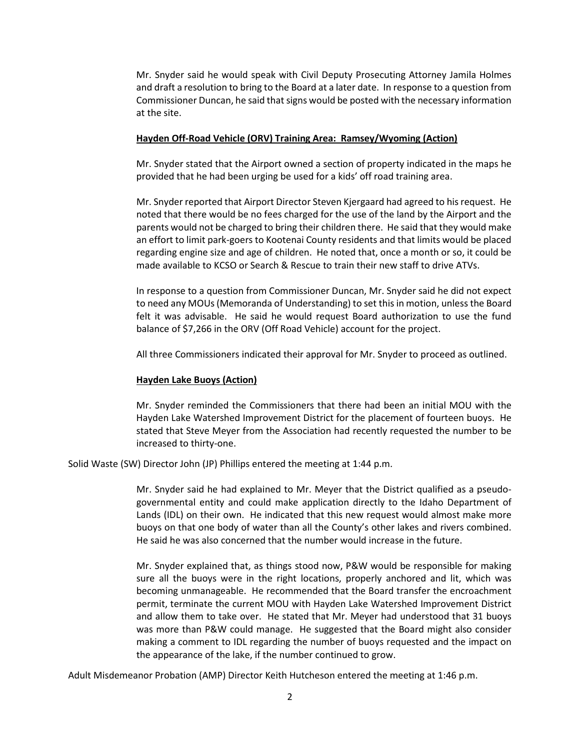Mr. Snyder said he would speak with Civil Deputy Prosecuting Attorney Jamila Holmes and draft a resolution to bring to the Board at a later date. In response to a question from Commissioner Duncan, he said that signs would be posted with the necessary information at the site.

#### **Hayden Off-Road Vehicle (ORV) Training Area: Ramsey/Wyoming (Action)**

Mr. Snyder stated that the Airport owned a section of property indicated in the maps he provided that he had been urging be used for a kids' off road training area.

Mr. Snyder reported that Airport Director Steven Kjergaard had agreed to his request. He noted that there would be no fees charged for the use of the land by the Airport and the parents would not be charged to bring their children there. He said that they would make an effort to limit park-goers to Kootenai County residents and that limits would be placed regarding engine size and age of children. He noted that, once a month or so, it could be made available to KCSO or Search & Rescue to train their new staff to drive ATVs.

In response to a question from Commissioner Duncan, Mr. Snyder said he did not expect to need any MOUs (Memoranda of Understanding) to set this in motion, unless the Board felt it was advisable. He said he would request Board authorization to use the fund balance of \$7,266 in the ORV (Off Road Vehicle) account for the project.

All three Commissioners indicated their approval for Mr. Snyder to proceed as outlined.

### **Hayden Lake Buoys (Action)**

Mr. Snyder reminded the Commissioners that there had been an initial MOU with the Hayden Lake Watershed Improvement District for the placement of fourteen buoys. He stated that Steve Meyer from the Association had recently requested the number to be increased to thirty-one.

Solid Waste (SW) Director John (JP) Phillips entered the meeting at 1:44 p.m.

Mr. Snyder said he had explained to Mr. Meyer that the District qualified as a pseudogovernmental entity and could make application directly to the Idaho Department of Lands (IDL) on their own. He indicated that this new request would almost make more buoys on that one body of water than all the County's other lakes and rivers combined. He said he was also concerned that the number would increase in the future.

Mr. Snyder explained that, as things stood now, P&W would be responsible for making sure all the buoys were in the right locations, properly anchored and lit, which was becoming unmanageable. He recommended that the Board transfer the encroachment permit, terminate the current MOU with Hayden Lake Watershed Improvement District and allow them to take over. He stated that Mr. Meyer had understood that 31 buoys was more than P&W could manage. He suggested that the Board might also consider making a comment to IDL regarding the number of buoys requested and the impact on the appearance of the lake, if the number continued to grow.

Adult Misdemeanor Probation (AMP) Director Keith Hutcheson entered the meeting at 1:46 p.m.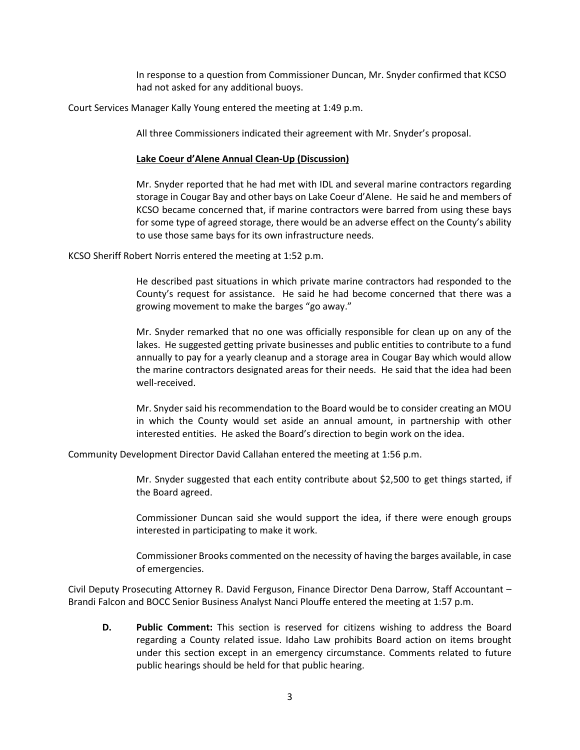In response to a question from Commissioner Duncan, Mr. Snyder confirmed that KCSO had not asked for any additional buoys.

Court Services Manager Kally Young entered the meeting at 1:49 p.m.

All three Commissioners indicated their agreement with Mr. Snyder's proposal.

#### **Lake Coeur d'Alene Annual Clean-Up (Discussion)**

Mr. Snyder reported that he had met with IDL and several marine contractors regarding storage in Cougar Bay and other bays on Lake Coeur d'Alene. He said he and members of KCSO became concerned that, if marine contractors were barred from using these bays for some type of agreed storage, there would be an adverse effect on the County's ability to use those same bays for its own infrastructure needs.

KCSO Sheriff Robert Norris entered the meeting at 1:52 p.m.

He described past situations in which private marine contractors had responded to the County's request for assistance. He said he had become concerned that there was a growing movement to make the barges "go away."

Mr. Snyder remarked that no one was officially responsible for clean up on any of the lakes. He suggested getting private businesses and public entities to contribute to a fund annually to pay for a yearly cleanup and a storage area in Cougar Bay which would allow the marine contractors designated areas for their needs. He said that the idea had been well-received.

Mr. Snyder said his recommendation to the Board would be to consider creating an MOU in which the County would set aside an annual amount, in partnership with other interested entities. He asked the Board's direction to begin work on the idea.

Community Development Director David Callahan entered the meeting at 1:56 p.m.

Mr. Snyder suggested that each entity contribute about \$2,500 to get things started, if the Board agreed.

Commissioner Duncan said she would support the idea, if there were enough groups interested in participating to make it work.

Commissioner Brooks commented on the necessity of having the barges available, in case of emergencies.

Civil Deputy Prosecuting Attorney R. David Ferguson, Finance Director Dena Darrow, Staff Accountant – Brandi Falcon and BOCC Senior Business Analyst Nanci Plouffe entered the meeting at 1:57 p.m.

**D. Public Comment:** This section is reserved for citizens wishing to address the Board regarding a County related issue. Idaho Law prohibits Board action on items brought under this section except in an emergency circumstance. Comments related to future public hearings should be held for that public hearing.